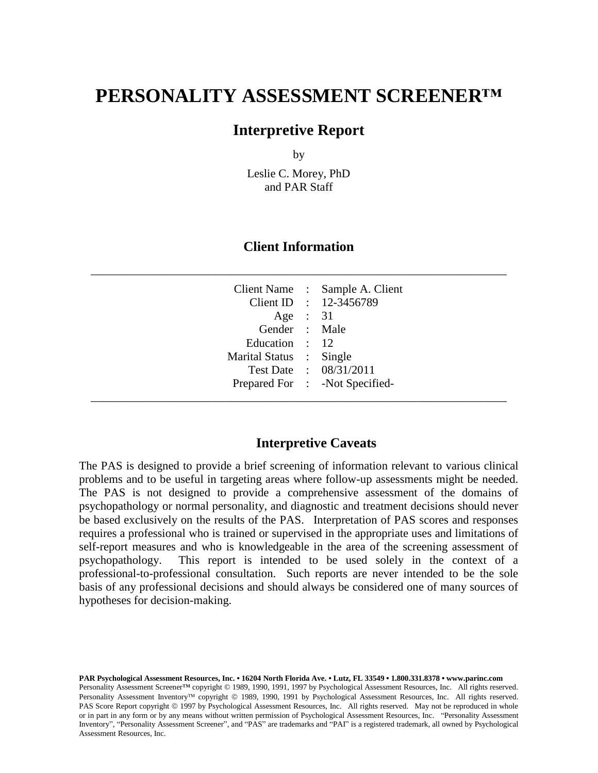# **PERSONALITY ASSESSMENT SCREENER™**

### **Interpretive Report**

by

Leslie C. Morey, PhD and PAR Staff

#### **Client Information**

\_\_\_\_\_\_\_\_\_\_\_\_\_\_\_\_\_\_\_\_\_\_\_\_\_\_\_\_\_\_\_\_\_\_\_\_\_\_\_\_\_\_\_\_\_\_\_\_\_\_\_\_\_\_\_\_\_\_\_\_\_\_\_\_\_\_\_\_\_\_\_

| Education : 12<br>Marital Status : Single | Client Name : Sample A. Client<br>Client ID : 12-3456789<br>Age : $31$<br>Gender : Male<br>Test Date : 08/31/2011<br>Prepared For : - Not Specified- |  |
|-------------------------------------------|------------------------------------------------------------------------------------------------------------------------------------------------------|--|
|                                           |                                                                                                                                                      |  |

#### **Interpretive Caveats**

The PAS is designed to provide a brief screening of information relevant to various clinical problems and to be useful in targeting areas where follow-up assessments might be needed. The PAS is not designed to provide a comprehensive assessment of the domains of psychopathology or normal personality, and diagnostic and treatment decisions should never be based exclusively on the results of the PAS. Interpretation of PAS scores and responses requires a professional who is trained or supervised in the appropriate uses and limitations of self-report measures and who is knowledgeable in the area of the screening assessment of psychopathology. This report is intended to be used solely in the context of a professional-to-professional consultation. Such reports are never intended to be the sole basis of any professional decisions and should always be considered one of many sources of hypotheses for decision-making.

**PAR Psychological Assessment Resources, Inc. • 16204 North Florida Ave. • Lutz, FL 33549 • 1.800.331.8378 • www.parinc.com** Personality Assessment Screener™ copyright © 1989, 1990, 1991, 1997 by Psychological Assessment Resources, Inc. All rights reserved. Personality Assessment Inventory™ copyright © 1989, 1990, 1991 by Psychological Assessment Resources, Inc. All rights reserved. PAS Score Report copyright © 1997 by Psychological Assessment Resources, Inc. All rights reserved. May not be reproduced in whole or in part in any form or by any means without written permission of Psychological Assessment Resources, Inc. "Personality Assessment Inventory", "Personality Assessment Screener", and "PAS" are trademarks and "PAI" is a registered trademark, all owned by Psychological Assessment Resources, Inc.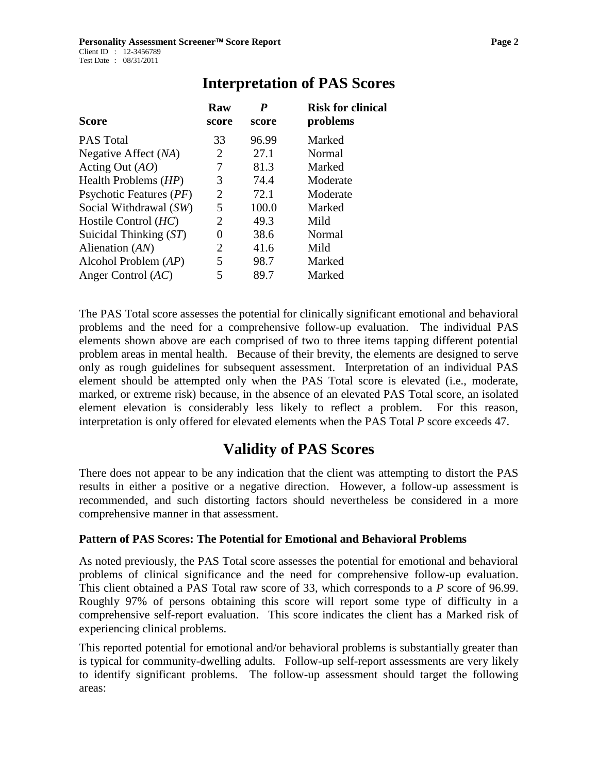| Score                   | Raw<br>score | P<br>score | <b>Risk for clinical</b><br>problems |
|-------------------------|--------------|------------|--------------------------------------|
| <b>PAS Total</b>        | 33           | 96.99      | Marked                               |
| Negative Affect (NA)    | 2            | 27.1       | Normal                               |
| Acting Out $(AO)$       | 7            | 81.3       | Marked                               |
| Health Problems (HP)    | 3            | 74.4       | Moderate                             |
| Psychotic Features (PF) | 2            | 72.1       | Moderate                             |
| Social Withdrawal (SW)  | 5            | 100.0      | Marked                               |
| Hostile Control $(HC)$  | 2            | 49.3       | Mild                                 |
| Suicidal Thinking (ST)  | 0            | 38.6       | Normal                               |
| Alienation $(AN)$       | 2            | 41.6       | Mild                                 |
| Alcohol Problem $(AP)$  | 5            | 98.7       | Marked                               |
| Anger Control $(AC)$    | 5            | 89.7       | Marked                               |

### **Interpretation of PAS Scores**

The PAS Total score assesses the potential for clinically significant emotional and behavioral problems and the need for a comprehensive follow-up evaluation. The individual PAS elements shown above are each comprised of two to three items tapping different potential problem areas in mental health. Because of their brevity, the elements are designed to serve only as rough guidelines for subsequent assessment. Interpretation of an individual PAS element should be attempted only when the PAS Total score is elevated (i.e., moderate, marked, or extreme risk) because, in the absence of an elevated PAS Total score, an isolated element elevation is considerably less likely to reflect a problem. For this reason, interpretation is only offered for elevated elements when the PAS Total *P* score exceeds 47.

## **Validity of PAS Scores**

There does not appear to be any indication that the client was attempting to distort the PAS results in either a positive or a negative direction. However, a follow-up assessment is recommended, and such distorting factors should nevertheless be considered in a more comprehensive manner in that assessment.

#### **Pattern of PAS Scores: The Potential for Emotional and Behavioral Problems**

As noted previously, the PAS Total score assesses the potential for emotional and behavioral problems of clinical significance and the need for comprehensive follow-up evaluation. This client obtained a PAS Total raw score of 33, which corresponds to a *P* score of 96.99. Roughly 97% of persons obtaining this score will report some type of difficulty in a comprehensive self-report evaluation. This score indicates the client has a Marked risk of experiencing clinical problems.

This reported potential for emotional and/or behavioral problems is substantially greater than is typical for community-dwelling adults. Follow-up self-report assessments are very likely to identify significant problems. The follow-up assessment should target the following areas: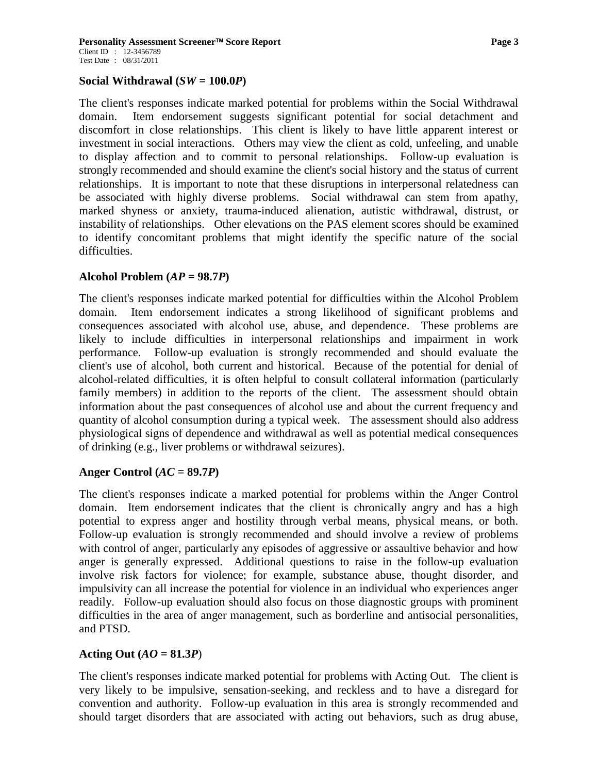#### **Social Withdrawal**  $(SW = 100.0P)$

The client's responses indicate marked potential for problems within the Social Withdrawal domain. Item endorsement suggests significant potential for social detachment and discomfort in close relationships. This client is likely to have little apparent interest or investment in social interactions. Others may view the client as cold, unfeeling, and unable to display affection and to commit to personal relationships. Follow-up evaluation is strongly recommended and should examine the client's social history and the status of current relationships. It is important to note that these disruptions in interpersonal relatedness can be associated with highly diverse problems. Social withdrawal can stem from apathy, marked shyness or anxiety, trauma-induced alienation, autistic withdrawal, distrust, or instability of relationships. Other elevations on the PAS element scores should be examined to identify concomitant problems that might identify the specific nature of the social difficulties.

#### **Alcohol Problem (***AP* **= 98.7***P***)**

The client's responses indicate marked potential for difficulties within the Alcohol Problem domain. Item endorsement indicates a strong likelihood of significant problems and consequences associated with alcohol use, abuse, and dependence. These problems are likely to include difficulties in interpersonal relationships and impairment in work performance. Follow-up evaluation is strongly recommended and should evaluate the client's use of alcohol, both current and historical. Because of the potential for denial of alcohol-related difficulties, it is often helpful to consult collateral information (particularly family members) in addition to the reports of the client. The assessment should obtain information about the past consequences of alcohol use and about the current frequency and quantity of alcohol consumption during a typical week. The assessment should also address physiological signs of dependence and withdrawal as well as potential medical consequences of drinking (e.g., liver problems or withdrawal seizures).

#### **Anger Control (***AC* **= 89.7***P***)**

The client's responses indicate a marked potential for problems within the Anger Control domain. Item endorsement indicates that the client is chronically angry and has a high potential to express anger and hostility through verbal means, physical means, or both. Follow-up evaluation is strongly recommended and should involve a review of problems with control of anger, particularly any episodes of aggressive or assaultive behavior and how anger is generally expressed. Additional questions to raise in the follow-up evaluation involve risk factors for violence; for example, substance abuse, thought disorder, and impulsivity can all increase the potential for violence in an individual who experiences anger readily. Follow-up evaluation should also focus on those diagnostic groups with prominent difficulties in the area of anger management, such as borderline and antisocial personalities, and PTSD.

#### Acting Out  $(AO = 81.3P)$

The client's responses indicate marked potential for problems with Acting Out. The client is very likely to be impulsive, sensation-seeking, and reckless and to have a disregard for convention and authority. Follow-up evaluation in this area is strongly recommended and should target disorders that are associated with acting out behaviors, such as drug abuse,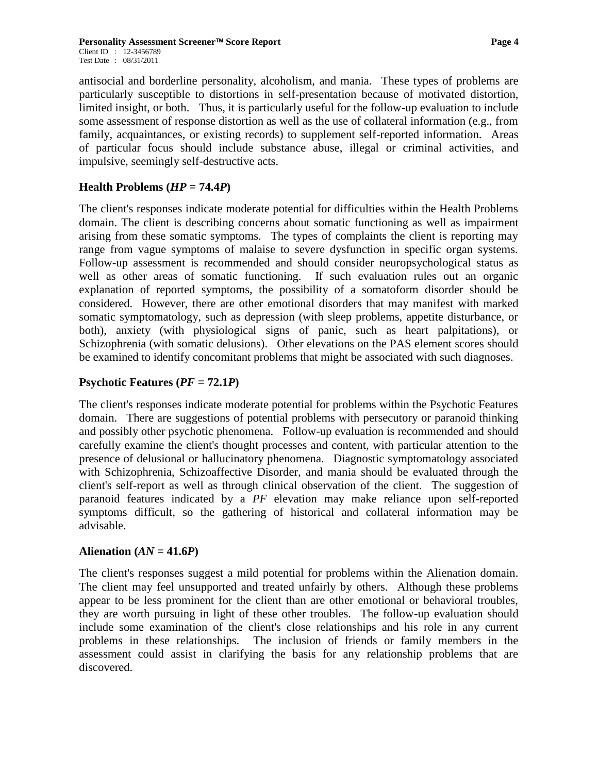antisocial and borderline personality, alcoholism, and mania. These types of problems are particularly susceptible to distortions in self-presentation because of motivated distortion, limited insight, or both. Thus, it is particularly useful for the follow-up evaluation to include some assessment of response distortion as well as the use of collateral information (e.g., from family, acquaintances, or existing records) to supplement self-reported information. Areas of particular focus should include substance abuse, illegal or criminal activities, and impulsive, seemingly self-destructive acts.

#### **Health Problems**  $(HP = 74.4P)$

The client's responses indicate moderate potential for difficulties within the Health Problems domain. The client is describing concerns about somatic functioning as well as impairment arising from these somatic symptoms. The types of complaints the client is reporting may range from vague symptoms of malaise to severe dysfunction in specific organ systems. Follow-up assessment is recommended and should consider neuropsychological status as well as other areas of somatic functioning. If such evaluation rules out an organic explanation of reported symptoms, the possibility of a somatoform disorder should be considered. However, there are other emotional disorders that may manifest with marked somatic symptomatology, such as depression (with sleep problems, appetite disturbance, or both), anxiety (with physiological signs of panic, such as heart palpitations), or Schizophrenia (with somatic delusions). Other elevations on the PAS element scores should be examined to identify concomitant problems that might be associated with such diagnoses.

#### **Psychotic Features (** $PF = 72.1P$ **)**

The client's responses indicate moderate potential for problems within the Psychotic Features domain. There are suggestions of potential problems with persecutory or paranoid thinking and possibly other psychotic phenomena. Follow-up evaluation is recommended and should carefully examine the client's thought processes and content, with particular attention to the presence of delusional or hallucinatory phenomena. Diagnostic symptomatology associated with Schizophrenia, Schizoaffective Disorder, and mania should be evaluated through the client's self-report as well as through clinical observation of the client. The suggestion of paranoid features indicated by a *PF* elevation may make reliance upon self-reported symptoms difficult, so the gathering of historical and collateral information may be advisable.

#### Alienation  $(AN = 41.6P)$

The client's responses suggest a mild potential for problems within the Alienation domain. The client may feel unsupported and treated unfairly by others. Although these problems appear to be less prominent for the client than are other emotional or behavioral troubles, they are worth pursuing in light of these other troubles. The follow-up evaluation should include some examination of the client's close relationships and his role in any current problems in these relationships. The inclusion of friends or family members in the assessment could assist in clarifying the basis for any relationship problems that are discovered.